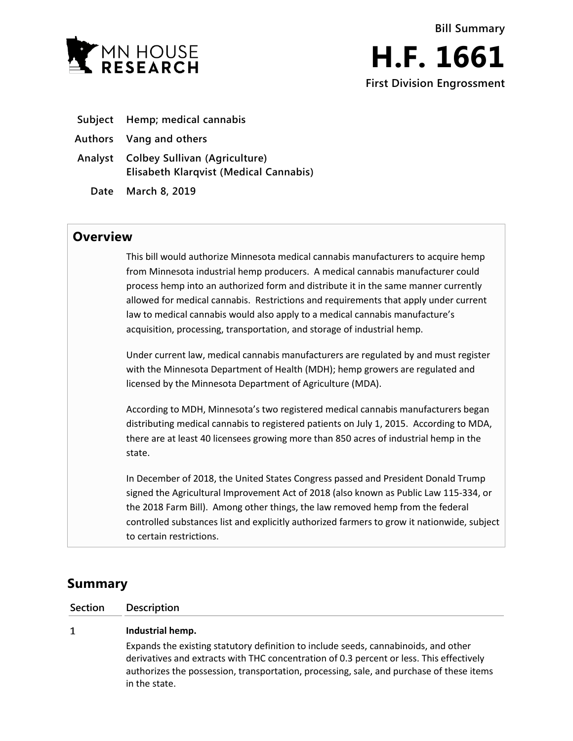



- **Subject Hemp; medical cannabis**
- **Authors Vang and others**
- **Analyst Colbey Sullivan (Agriculture) Elisabeth Klarqvist (Medical Cannabis)**
	- **Date March 8, 2019**

## **Overview**

This bill would authorize Minnesota medical cannabis manufacturers to acquire hemp from Minnesota industrial hemp producers. A medical cannabis manufacturer could process hemp into an authorized form and distribute it in the same manner currently allowed for medical cannabis. Restrictions and requirements that apply under current law to medical cannabis would also apply to a medical cannabis manufacture's acquisition, processing, transportation, and storage of industrial hemp.

Under current law, medical cannabis manufacturers are regulated by and must register with the Minnesota Department of Health (MDH); hemp growers are regulated and licensed by the Minnesota Department of Agriculture (MDA).

According to MDH, Minnesota's two registered medical cannabis manufacturers began distributing medical cannabis to registered patients on July 1, 2015. According to MDA, there are at least 40 licensees growing more than 850 acres of industrial hemp in the state.

In December of 2018, the United States Congress passed and President Donald Trump signed the Agricultural Improvement Act of 2018 (also known as Public Law 115-334, or the 2018 Farm Bill). Among other things, the law removed hemp from the federal controlled substances list and explicitly authorized farmers to grow it nationwide, subject to certain restrictions.

# **Summary**

**Section Description**

#### $\mathbf{1}$ **Industrial hemp.**

Expands the existing statutory definition to include seeds, cannabinoids, and other derivatives and extracts with THC concentration of 0.3 percent or less. This effectively authorizes the possession, transportation, processing, sale, and purchase of these items in the state.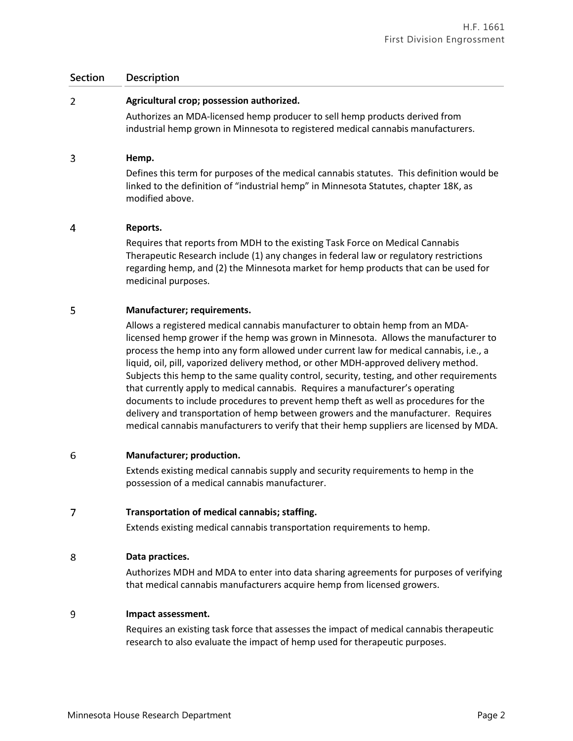### **Section Description**

#### $\overline{2}$ **Agricultural crop; possession authorized.**

Authorizes an MDA-licensed hemp producer to sell hemp products derived from industrial hemp grown in Minnesota to registered medical cannabis manufacturers.

#### 3 **Hemp.**

Defines this term for purposes of the medical cannabis statutes. This definition would be linked to the definition of "industrial hemp" in Minnesota Statutes, chapter 18K, as modified above.

#### $\overline{4}$ **Reports.**

Requires that reports from MDH to the existing Task Force on Medical Cannabis Therapeutic Research include (1) any changes in federal law or regulatory restrictions regarding hemp, and (2) the Minnesota market for hemp products that can be used for medicinal purposes.

#### 5 **Manufacturer; requirements.**

Allows a registered medical cannabis manufacturer to obtain hemp from an MDAlicensed hemp grower if the hemp was grown in Minnesota. Allows the manufacturer to process the hemp into any form allowed under current law for medical cannabis, i.e., a liquid, oil, pill, vaporized delivery method, or other MDH-approved delivery method. Subjects this hemp to the same quality control, security, testing, and other requirements that currently apply to medical cannabis. Requires a manufacturer's operating documents to include procedures to prevent hemp theft as well as procedures for the delivery and transportation of hemp between growers and the manufacturer. Requires medical cannabis manufacturers to verify that their hemp suppliers are licensed by MDA.

#### 6 **Manufacturer; production.**

Extends existing medical cannabis supply and security requirements to hemp in the possession of a medical cannabis manufacturer.

#### $\overline{7}$ **Transportation of medical cannabis; staffing.**

Extends existing medical cannabis transportation requirements to hemp.

### 8 **Data practices.**

Authorizes MDH and MDA to enter into data sharing agreements for purposes of verifying that medical cannabis manufacturers acquire hemp from licensed growers.

#### 9 **Impact assessment.**

Requires an existing task force that assesses the impact of medical cannabis therapeutic research to also evaluate the impact of hemp used for therapeutic purposes.